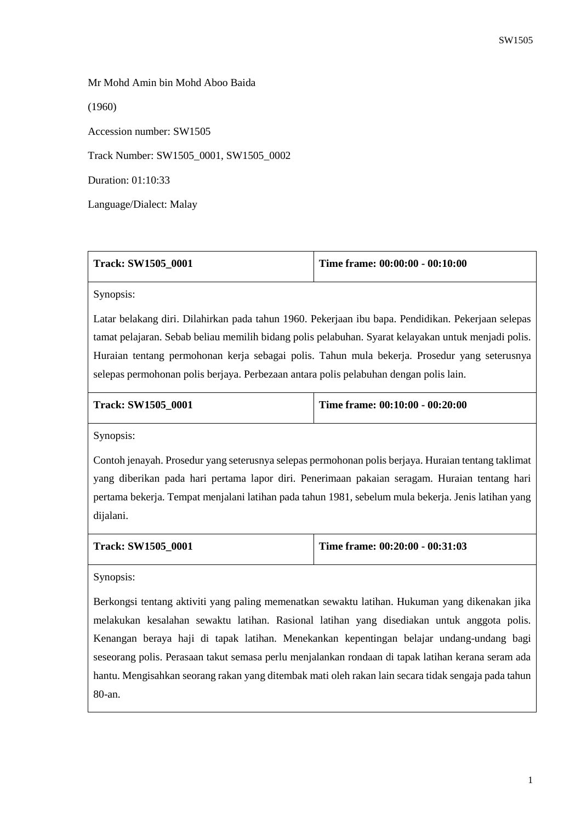## Mr Mohd Amin bin Mohd Aboo Baida

(1960)

Accession number: SW1505

Track Number: SW1505\_0001, SW1505\_0002

Duration: 01:10:33

Language/Dialect: Malay

| Track: SW1505 0001 | Time frame: $00:00:00 - 00:10:00$ |
|--------------------|-----------------------------------|
|                    |                                   |

Synopsis:

Latar belakang diri. Dilahirkan pada tahun 1960. Pekerjaan ibu bapa. Pendidikan. Pekerjaan selepas tamat pelajaran. Sebab beliau memilih bidang polis pelabuhan. Syarat kelayakan untuk menjadi polis. Huraian tentang permohonan kerja sebagai polis. Tahun mula bekerja. Prosedur yang seterusnya selepas permohonan polis berjaya. Perbezaan antara polis pelabuhan dengan polis lain.

## **Track: SW1505\_0001**  $\boxed{\text{T}}$

| lime frame: 00:10:00 - 00:20:00 |  |  |
|---------------------------------|--|--|
|---------------------------------|--|--|

Synopsis:

Contoh jenayah. Prosedur yang seterusnya selepas permohonan polis berjaya. Huraian tentang taklimat yang diberikan pada hari pertama lapor diri. Penerimaan pakaian seragam. Huraian tentang hari pertama bekerja. Tempat menjalani latihan pada tahun 1981, sebelum mula bekerja. Jenis latihan yang dijalani.

| <b>Track: SW1505 0001</b> | Time frame: 00:20:00 - 00:31:03 |
|---------------------------|---------------------------------|
|---------------------------|---------------------------------|

Synopsis:

Berkongsi tentang aktiviti yang paling memenatkan sewaktu latihan. Hukuman yang dikenakan jika melakukan kesalahan sewaktu latihan. Rasional latihan yang disediakan untuk anggota polis. Kenangan beraya haji di tapak latihan. Menekankan kepentingan belajar undang-undang bagi seseorang polis. Perasaan takut semasa perlu menjalankan rondaan di tapak latihan kerana seram ada hantu. Mengisahkan seorang rakan yang ditembak mati oleh rakan lain secara tidak sengaja pada tahun 80-an.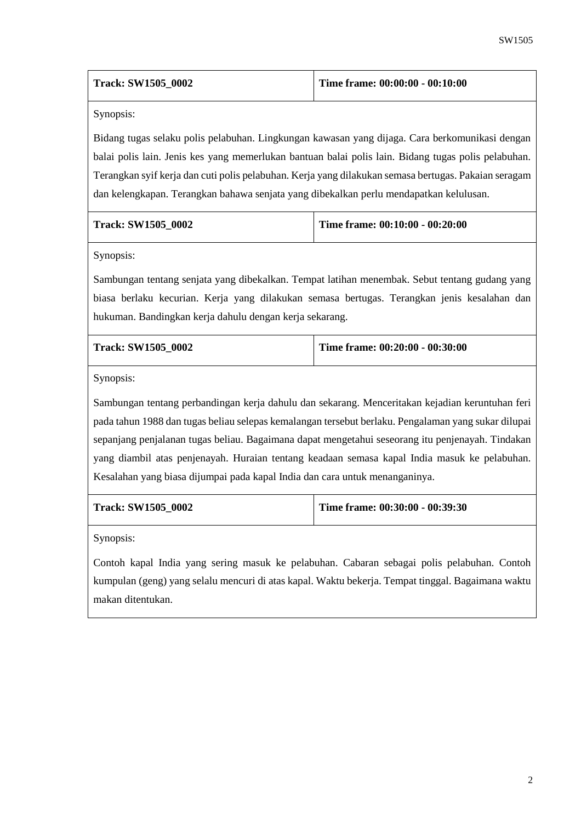| <b>Track: SW1505 0002</b> | Time frame: $00:00:00 - 00:10:00$ |
|---------------------------|-----------------------------------|
|---------------------------|-----------------------------------|

Synopsis:

Bidang tugas selaku polis pelabuhan. Lingkungan kawasan yang dijaga. Cara berkomunikasi dengan balai polis lain. Jenis kes yang memerlukan bantuan balai polis lain. Bidang tugas polis pelabuhan. Terangkan syif kerja dan cuti polis pelabuhan. Kerja yang dilakukan semasa bertugas. Pakaian seragam dan kelengkapan. Terangkan bahawa senjata yang dibekalkan perlu mendapatkan kelulusan.

| <b>Track: SW1505 0002</b> | Time frame: $00:10:00 - 00:20:00$ |
|---------------------------|-----------------------------------|
|                           |                                   |

Synopsis:

Sambungan tentang senjata yang dibekalkan. Tempat latihan menembak. Sebut tentang gudang yang biasa berlaku kecurian. Kerja yang dilakukan semasa bertugas. Terangkan jenis kesalahan dan hukuman. Bandingkan kerja dahulu dengan kerja sekarang.

| <b>Track: SW1505 0002</b> | Time frame: 00:20:00 - 00:30:00 |
|---------------------------|---------------------------------|
|                           |                                 |

Synopsis:

Sambungan tentang perbandingan kerja dahulu dan sekarang. Menceritakan kejadian keruntuhan feri pada tahun 1988 dan tugas beliau selepas kemalangan tersebut berlaku. Pengalaman yang sukar dilupai sepanjang penjalanan tugas beliau. Bagaimana dapat mengetahui seseorang itu penjenayah. Tindakan yang diambil atas penjenayah. Huraian tentang keadaan semasa kapal India masuk ke pelabuhan. Kesalahan yang biasa dijumpai pada kapal India dan cara untuk menanganinya.

| <b>Track: SW1505 0002</b> | Time frame: $00:30:00 - 00:39:30$ |
|---------------------------|-----------------------------------|
|                           |                                   |

Synopsis:

Contoh kapal India yang sering masuk ke pelabuhan. Cabaran sebagai polis pelabuhan. Contoh kumpulan (geng) yang selalu mencuri di atas kapal. Waktu bekerja. Tempat tinggal. Bagaimana waktu makan ditentukan.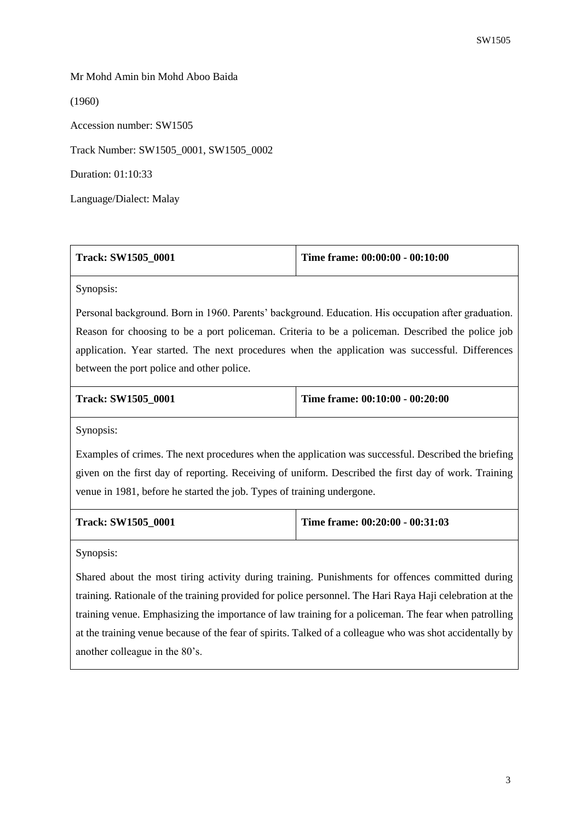## Mr Mohd Amin bin Mohd Aboo Baida

(1960)

Accession number: SW1505

Track Number: SW1505\_0001, SW1505\_0002

Duration: 01:10:33

Language/Dialect: Malay

| <b>Track: SW1505 0001</b> | Time frame: $00:00:00 - 00:10:00$ |
|---------------------------|-----------------------------------|
|---------------------------|-----------------------------------|

Synopsis:

Personal background. Born in 1960. Parents' background. Education. His occupation after graduation. Reason for choosing to be a port policeman. Criteria to be a policeman. Described the police job application. Year started. The next procedures when the application was successful. Differences between the port police and other police.

| <b>Track: SW1505 0001</b> | Time frame: $00:10:00 - 00:20:00$ |
|---------------------------|-----------------------------------|
|                           |                                   |

Synopsis:

Examples of crimes. The next procedures when the application was successful. Described the briefing given on the first day of reporting. Receiving of uniform. Described the first day of work. Training venue in 1981, before he started the job. Types of training undergone.

**Track: SW1505\_0001 Time frame: 00:20:00 - 00:31:03**

Synopsis:

Shared about the most tiring activity during training. Punishments for offences committed during training. Rationale of the training provided for police personnel. The Hari Raya Haji celebration at the training venue. Emphasizing the importance of law training for a policeman. The fear when patrolling at the training venue because of the fear of spirits. Talked of a colleague who was shot accidentally by another colleague in the 80's.